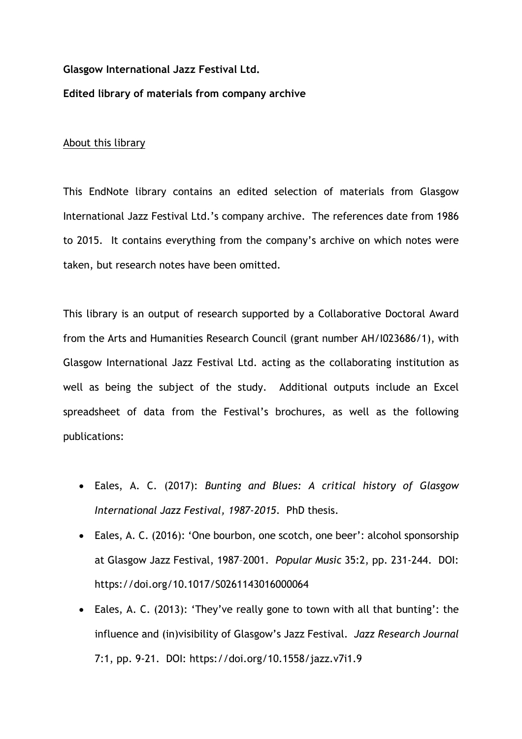## **Glasgow International Jazz Festival Ltd.**

## **Edited library of materials from company archive**

## About this library

This EndNote library contains an edited selection of materials from Glasgow International Jazz Festival Ltd.'s company archive. The references date from 1986 to 2015. It contains everything from the company's archive on which notes were taken, but research notes have been omitted.

This library is an output of research supported by a Collaborative Doctoral Award from the Arts and Humanities Research Council (grant number AH/I023686/1), with Glasgow International Jazz Festival Ltd. acting as the collaborating institution as well as being the subject of the study. Additional outputs include an Excel spreadsheet of data from the Festival's brochures, as well as the following publications:

- Eales, A. C. (2017): *Bunting and Blues: A critical history of Glasgow International Jazz Festival, 1987-2015*. PhD thesis.
- Eales, A. C. (2016): 'One bourbon, one scotch, one beer': alcohol sponsorship at Glasgow Jazz Festival, 1987–2001. *Popular Music* 35:2, pp. 231-244. DOI: https://doi.org/10.1017/S0261143016000064
- Eales, A. C. (2013): 'They've really gone to town with all that bunting': the influence and (in)visibility of Glasgow's Jazz Festival. *Jazz Research Journal* 7:1, pp. 9-21. DOI: https://doi.org/10.1558/jazz.v7i1.9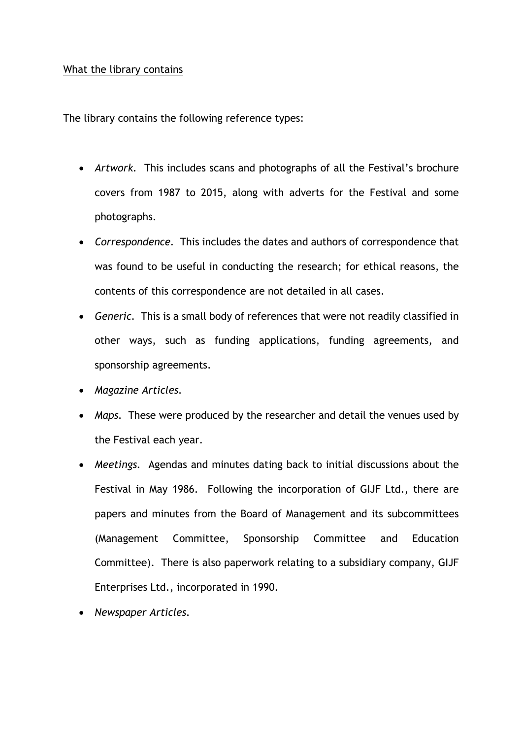## What the library contains

The library contains the following reference types:

- *Artwork.* This includes scans and photographs of all the Festival's brochure covers from 1987 to 2015, along with adverts for the Festival and some photographs.
- *Correspondence.* This includes the dates and authors of correspondence that was found to be useful in conducting the research; for ethical reasons, the contents of this correspondence are not detailed in all cases.
- *Generic.* This is a small body of references that were not readily classified in other ways, such as funding applications, funding agreements, and sponsorship agreements.
- *Magazine Articles.*
- *Maps.* These were produced by the researcher and detail the venues used by the Festival each year.
- *Meetings.* Agendas and minutes dating back to initial discussions about the Festival in May 1986. Following the incorporation of GIJF Ltd., there are papers and minutes from the Board of Management and its subcommittees (Management Committee, Sponsorship Committee and Education Committee). There is also paperwork relating to a subsidiary company, GIJF Enterprises Ltd., incorporated in 1990.
- *Newspaper Articles.*